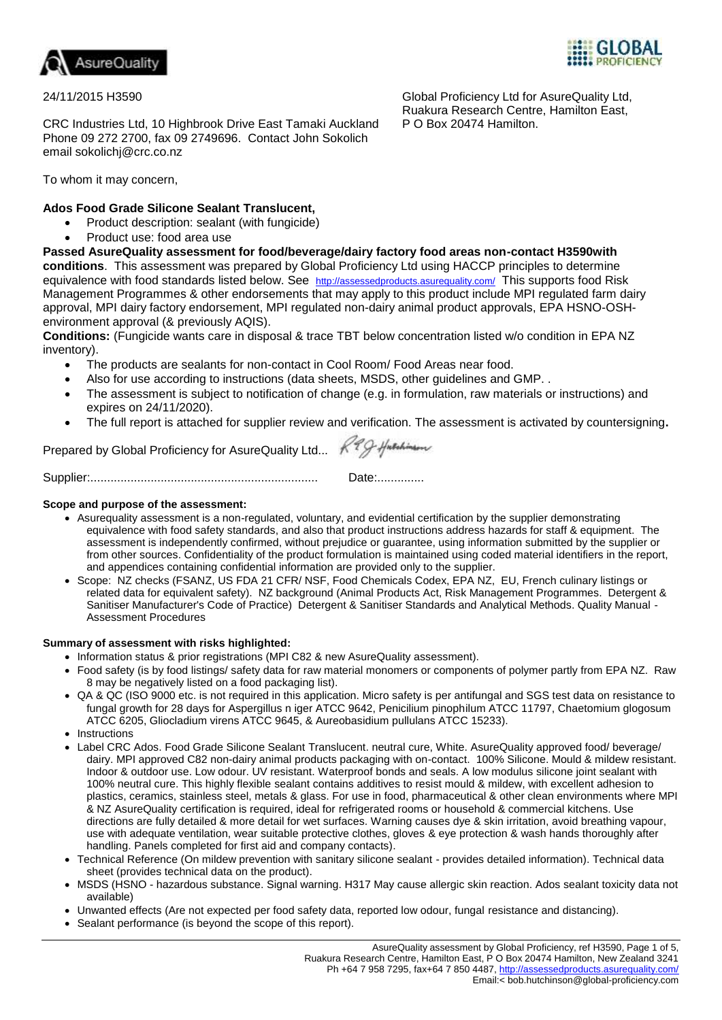



## 24/11/2015 H3590

CRC Industries Ltd, 10 Highbrook Drive East Tamaki Auckland Phone 09 272 2700, fax 09 2749696. Contact John Sokolich email sokolichj@crc.co.nz

To whom it may concern,

# **Ados Food Grade Silicone Sealant Translucent,**

- Product description: sealant (with fungicide)
- Product use: food area use

**Passed AsureQuality assessment for food/beverage/dairy factory food areas non-contact H3590with conditions**. This assessment was prepared by Global Proficiency Ltd using HACCP principles to determine equivalence with food standards listed below. See <http://assessedproducts.asurequality.com/> This supports food Risk Management Programmes & other endorsements that may apply to this product include MPI regulated farm dairy approval, MPI dairy factory endorsement, MPI regulated non-dairy animal product approvals, EPA HSNO-OSHenvironment approval (& previously AQIS).

**Conditions:** (Fungicide wants care in disposal & trace TBT below concentration listed w/o condition in EPA NZ inventory).

- The products are sealants for non-contact in Cool Room/ Food Areas near food.
- Also for use according to instructions (data sheets, MSDS, other guidelines and GMP. .
- The assessment is subject to notification of change (e.g. in formulation, raw materials or instructions) and expires on 24/11/2020).
- The full report is attached for supplier review and verification. The assessment is activated by countersigning**.**

Prepared by Global Proficiency for AsureQuality Ltd...  $R^2Q$ -Huschinson

Supplier:.................................................................... Date:..............

## **Scope and purpose of the assessment:**

- Asurequality assessment is a non-regulated, voluntary, and evidential certification by the supplier demonstrating equivalence with food safety standards, and also that product instructions address hazards for staff & equipment. The assessment is independently confirmed, without prejudice or guarantee, using information submitted by the supplier or from other sources. Confidentiality of the product formulation is maintained using coded material identifiers in the report, and appendices containing confidential information are provided only to the supplier.
- Scope: NZ checks (FSANZ, US FDA 21 CFR/ NSF, Food Chemicals Codex, EPA NZ, EU, French culinary listings or related data for equivalent safety). NZ background (Animal Products Act, Risk Management Programmes. Detergent & Sanitiser Manufacturer's Code of Practice) Detergent & Sanitiser Standards and Analytical Methods. Quality Manual - Assessment Procedures

## **Summary of assessment with risks highlighted:**

- Information status & prior registrations (MPI C82 & new AsureQuality assessment).
- Food safety (is by food listings/ safety data for raw material monomers or components of polymer partly from EPA NZ. Raw 8 may be negatively listed on a food packaging list).
- QA & QC (ISO 9000 etc. is not required in this application. Micro safety is per antifungal and SGS test data on resistance to fungal growth for 28 days for Aspergillus n iger ATCC 9642, Penicilium pinophilum ATCC 11797, Chaetomium glogosum ATCC 6205, Gliocladium virens ATCC 9645, & Aureobasidium pullulans ATCC 15233).
- Instructions
- Label CRC Ados. Food Grade Silicone Sealant Translucent. neutral cure, White. AsureQuality approved food/ beverage/ dairy. MPI approved C82 non-dairy animal products packaging with on-contact. 100% Silicone. Mould & mildew resistant. Indoor & outdoor use. Low odour. UV resistant. Waterproof bonds and seals. A low modulus silicone joint sealant with 100% neutral cure. This highly flexible sealant contains additives to resist mould & mildew, with excellent adhesion to plastics, ceramics, stainless steel, metals & glass. For use in food, pharmaceutical & other clean environments where MPI & NZ AsureQuality certification is required, ideal for refrigerated rooms or household & commercial kitchens. Use directions are fully detailed & more detail for wet surfaces. Warning causes dye & skin irritation, avoid breathing vapour, use with adequate ventilation, wear suitable protective clothes, gloves & eye protection & wash hands thoroughly after handling. Panels completed for first aid and company contacts).
- Technical Reference (On mildew prevention with sanitary silicone sealant provides detailed information). Technical data sheet (provides technical data on the product).
- MSDS (HSNO hazardous substance. Signal warning. H317 May cause allergic skin reaction. Ados sealant toxicity data not available)
- Unwanted effects (Are not expected per food safety data, reported low odour, fungal resistance and distancing).
- Sealant performance (is beyond the scope of this report).

Global Proficiency Ltd for AsureQuality Ltd, Ruakura Research Centre, Hamilton East, P O Box 20474 Hamilton.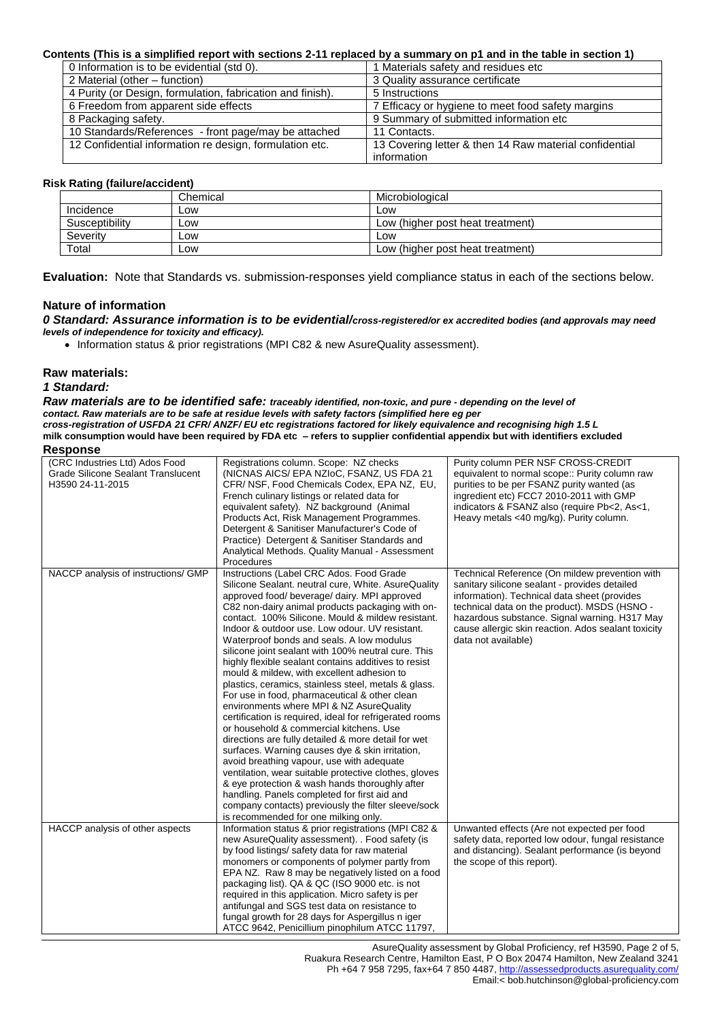### **Contents (This is a simplified report with sections 2-11 replaced by a summary on p1 and in the table in section 1)**

| 0 Information is to be evidential (std 0).                 | 1 Materials safety and residues etc                    |
|------------------------------------------------------------|--------------------------------------------------------|
| 2 Material (other – function)                              | 3 Quality assurance certificate                        |
| 4 Purity (or Design, formulation, fabrication and finish). | 5 Instructions                                         |
| 6 Freedom from apparent side effects                       | 7 Efficacy or hygiene to meet food safety margins      |
| 8 Packaging safety.                                        | 9 Summary of submitted information etc                 |
| 10 Standards/References - front page/may be attached       | 11 Contacts.                                           |
| 12 Confidential information re design, formulation etc.    | 13 Covering letter & then 14 Raw material confidential |
|                                                            | information                                            |

### **Risk Rating (failure/accident)**

| --------- <u>-</u><br>. |          |                                  |
|-------------------------|----------|----------------------------------|
|                         | Chemical | Microbiological                  |
| Incidence               | Low      | Low                              |
| Susceptibility          | Low      | Low (higher post heat treatment) |
| Severity                | Low      | Low                              |
| Total                   | Low      | Low (higher post heat treatment) |

**Evaluation:** Note that Standards vs. submission-responses yield compliance status in each of the sections below.

### **Nature of information**

*0 Standard: Assurance information is to be evidential/cross-registered/or ex accredited bodies (and approvals may need levels of independence for toxicity and efficacy).*

Information status & prior registrations (MPI C82 & new AsureQuality assessment).

#### **Raw materials:**

#### *1 Standard:*

*Raw materials are to be identified safe: traceably identified, non-toxic, and pure - depending on the level of contact. Raw materials are to be safe at residue levels with safety factors (simplified here eg per cross-registration of USFDA 21 CFR/ ANZF/ EU etc registrations factored for likely equivalence and recognising high 1.5 L*  **milk consumption would have been required by FDA etc – refers to supplier confidential appendix but with identifiers excluded Response**

| nesponse                                                                                        |                                                                                                                                                                                                                                                                                                                                                                                                                                                                                                                                                                                                                                                                                                                                                                                                                                                                                                                                                                                                                                                                                                                                                                                                  |                                                                                                                                                                                                                                                                                                                                |
|-------------------------------------------------------------------------------------------------|--------------------------------------------------------------------------------------------------------------------------------------------------------------------------------------------------------------------------------------------------------------------------------------------------------------------------------------------------------------------------------------------------------------------------------------------------------------------------------------------------------------------------------------------------------------------------------------------------------------------------------------------------------------------------------------------------------------------------------------------------------------------------------------------------------------------------------------------------------------------------------------------------------------------------------------------------------------------------------------------------------------------------------------------------------------------------------------------------------------------------------------------------------------------------------------------------|--------------------------------------------------------------------------------------------------------------------------------------------------------------------------------------------------------------------------------------------------------------------------------------------------------------------------------|
| (CRC Industries Ltd) Ados Food<br><b>Grade Silicone Sealant Translucent</b><br>H3590 24-11-2015 | Registrations column. Scope: NZ checks<br>(NICNAS AICS/EPA NZIOC, FSANZ, US FDA 21<br>CFR/ NSF, Food Chemicals Codex, EPA NZ, EU,<br>French culinary listings or related data for<br>equivalent safety). NZ background (Animal<br>Products Act, Risk Management Programmes.<br>Detergent & Sanitiser Manufacturer's Code of<br>Practice) Detergent & Sanitiser Standards and<br>Analytical Methods. Quality Manual - Assessment<br>Procedures                                                                                                                                                                                                                                                                                                                                                                                                                                                                                                                                                                                                                                                                                                                                                    | Purity column PER NSF CROSS-CREDIT<br>equivalent to normal scope:: Purity column raw<br>purities to be per FSANZ purity wanted (as<br>ingredient etc) FCC7 2010-2011 with GMP<br>indicators & FSANZ also (require Pb<2, As<1,<br>Heavy metals <40 mg/kg). Purity column.                                                       |
| NACCP analysis of instructions/ GMP                                                             | Instructions (Label CRC Ados. Food Grade<br>Silicone Sealant. neutral cure, White. AsureQuality<br>approved food/ beverage/ dairy. MPI approved<br>C82 non-dairy animal products packaging with on-<br>contact. 100% Silicone. Mould & mildew resistant.<br>Indoor & outdoor use. Low odour. UV resistant.<br>Waterproof bonds and seals. A low modulus<br>silicone joint sealant with 100% neutral cure. This<br>highly flexible sealant contains additives to resist<br>mould & mildew, with excellent adhesion to<br>plastics, ceramics, stainless steel, metals & glass.<br>For use in food, pharmaceutical & other clean<br>environments where MPI & NZ AsureQuality<br>certification is required, ideal for refrigerated rooms<br>or household & commercial kitchens. Use<br>directions are fully detailed & more detail for wet<br>surfaces. Warning causes dye & skin irritation,<br>avoid breathing vapour, use with adequate<br>ventilation, wear suitable protective clothes, gloves<br>& eye protection & wash hands thoroughly after<br>handling. Panels completed for first aid and<br>company contacts) previously the filter sleeve/sock<br>is recommended for one milking only. | Technical Reference (On mildew prevention with<br>sanitary silicone sealant - provides detailed<br>information). Technical data sheet (provides<br>technical data on the product). MSDS (HSNO -<br>hazardous substance. Signal warning. H317 May<br>cause allergic skin reaction. Ados sealant toxicity<br>data not available) |
| HACCP analysis of other aspects                                                                 | Information status & prior registrations (MPI C82 &<br>new AsureQuality assessment). . Food safety (is<br>by food listings/ safety data for raw material<br>monomers or components of polymer partly from<br>EPA NZ. Raw 8 may be negatively listed on a food<br>packaging list). QA & QC (ISO 9000 etc. is not<br>required in this application. Micro safety is per<br>antifungal and SGS test data on resistance to<br>fungal growth for 28 days for Aspergillus n iger<br>ATCC 9642, Penicillium pinophilum ATCC 11797,                                                                                                                                                                                                                                                                                                                                                                                                                                                                                                                                                                                                                                                                       | Unwanted effects (Are not expected per food<br>safety data, reported low odour, fungal resistance<br>and distancing). Sealant performance (is beyond<br>the scope of this report).                                                                                                                                             |

AsureQuality assessment by Global Proficiency, ref H3590, Page 2 of 5, Ruakura Research Centre, Hamilton East, P O Box 20474 Hamilton, New Zealand 3241 Ph +64 7 958 7295, fax+64 7 850 4487,<http://assessedproducts.asurequality.com/> Email:< bob.hutchinson@global-proficiency.com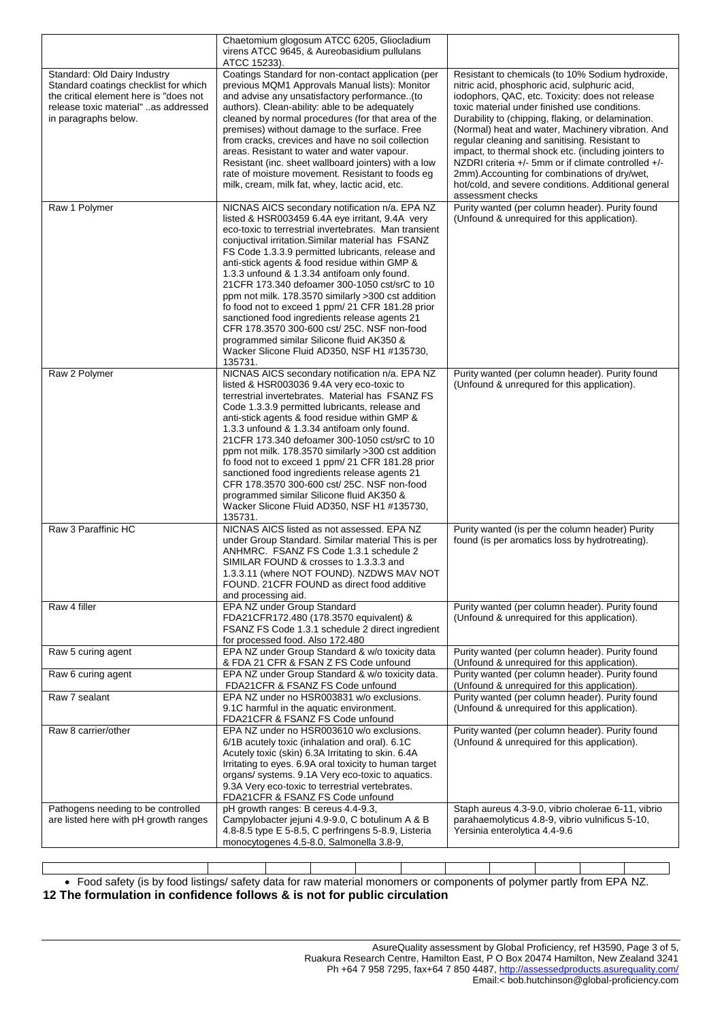|                                                                                                                                                                                 | Chaetomium glogosum ATCC 6205, Gliocladium<br>virens ATCC 9645, & Aureobasidium pullulans                                                                                                                                                                                                                                                                                                                                                                                                                                                                                                                                                                                                                                                |                                                                                                                                                                                                                                                                                                                                                                                                                                                                                                                                                                                                               |
|---------------------------------------------------------------------------------------------------------------------------------------------------------------------------------|------------------------------------------------------------------------------------------------------------------------------------------------------------------------------------------------------------------------------------------------------------------------------------------------------------------------------------------------------------------------------------------------------------------------------------------------------------------------------------------------------------------------------------------------------------------------------------------------------------------------------------------------------------------------------------------------------------------------------------------|---------------------------------------------------------------------------------------------------------------------------------------------------------------------------------------------------------------------------------------------------------------------------------------------------------------------------------------------------------------------------------------------------------------------------------------------------------------------------------------------------------------------------------------------------------------------------------------------------------------|
| Standard: Old Dairy Industry<br>Standard coatings checklist for which<br>the critical element here is "does not<br>release toxic material" as addressed<br>in paragraphs below. | ATCC 15233).<br>Coatings Standard for non-contact application (per<br>previous MQM1 Approvals Manual lists): Monitor<br>and advise any unsatisfactory performance(to<br>authors). Clean-ability: able to be adequately<br>cleaned by normal procedures (for that area of the<br>premises) without damage to the surface. Free<br>from cracks, crevices and have no soil collection<br>areas. Resistant to water and water vapour.<br>Resistant (inc. sheet wallboard jointers) with a low<br>rate of moisture movement. Resistant to foods eg<br>milk, cream, milk fat, whey, lactic acid, etc.                                                                                                                                          | Resistant to chemicals (to 10% Sodium hydroxide,<br>nitric acid, phosphoric acid, sulphuric acid,<br>iodophors, QAC, etc. Toxicity: does not release<br>toxic material under finished use conditions.<br>Durability to (chipping, flaking, or delamination.<br>(Normal) heat and water, Machinery vibration. And<br>regular cleaning and sanitising. Resistant to<br>impact, to thermal shock etc. (including jointers to<br>NZDRI criteria +/- 5mm or if climate controlled +/-<br>2mm). Accounting for combinations of dry/wet,<br>hot/cold, and severe conditions. Additional general<br>assessment checks |
| Raw 1 Polymer                                                                                                                                                                   | NICNAS AICS secondary notification n/a. EPA NZ<br>listed & HSR003459 6.4A eye irritant, 9.4A very<br>eco-toxic to terrestrial invertebrates. Man transient<br>conjuctival irritation. Similar material has FSANZ<br>FS Code 1.3.3.9 permitted lubricants, release and<br>anti-stick agents & food residue within GMP &<br>1.3.3 unfound & 1.3.34 antifoam only found.<br>21 CFR 173.340 defoamer 300-1050 cst/srC to 10<br>ppm not milk. 178.3570 similarly >300 cst addition<br>fo food not to exceed 1 ppm/ 21 CFR 181.28 prior<br>sanctioned food ingredients release agents 21<br>CFR 178.3570 300-600 cst/ 25C. NSF non-food<br>programmed similar Silicone fluid AK350 &<br>Wacker Slicone Fluid AD350, NSF H1 #135730,<br>135731. | Purity wanted (per column header). Purity found<br>(Unfound & unrequired for this application).                                                                                                                                                                                                                                                                                                                                                                                                                                                                                                               |
| Raw 2 Polymer                                                                                                                                                                   | NICNAS AICS secondary notification n/a. EPA NZ<br>listed & HSR003036 9.4A very eco-toxic to<br>terrestrial invertebrates. Material has FSANZ FS<br>Code 1.3.3.9 permitted lubricants, release and<br>anti-stick agents & food residue within GMP &<br>1.3.3 unfound & 1.3.34 antifoam only found.<br>21 CFR 173.340 defoamer 300-1050 cst/srC to 10<br>ppm not milk. 178.3570 similarly >300 cst addition<br>fo food not to exceed 1 ppm/ 21 CFR 181.28 prior<br>sanctioned food ingredients release agents 21<br>CFR 178.3570 300-600 cst/ 25C. NSF non-food<br>programmed similar Silicone fluid AK350 &<br>Wacker Slicone Fluid AD350, NSF H1 #135730,<br>135731.                                                                     | Purity wanted (per column header). Purity found<br>(Unfound & unrequred for this application).                                                                                                                                                                                                                                                                                                                                                                                                                                                                                                                |
| Raw 3 Paraffinic HC                                                                                                                                                             | NICNAS AICS listed as not assessed. EPA NZ<br>under Group Standard. Similar material This is per<br>ANHMRC. FSANZ FS Code 1.3.1 schedule 2<br>SIMILAR FOUND & crosses to 1.3.3.3 and<br>1.3.3.11 (where NOT FOUND). NZDWS MAV NOT<br>FOUND. 21CFR FOUND as direct food additive<br>and processing aid.                                                                                                                                                                                                                                                                                                                                                                                                                                   | Purity wanted (is per the column header) Purity<br>found (is per aromatics loss by hydrotreating).                                                                                                                                                                                                                                                                                                                                                                                                                                                                                                            |
| Raw 4 filler                                                                                                                                                                    | EPA NZ under Group Standard<br>FDA21CFR172.480 (178.3570 equivalent) &<br>FSANZ FS Code 1.3.1 schedule 2 direct ingredient<br>for processed food. Also 172.480                                                                                                                                                                                                                                                                                                                                                                                                                                                                                                                                                                           | Purity wanted (per column header). Purity found<br>(Unfound & unrequired for this application).                                                                                                                                                                                                                                                                                                                                                                                                                                                                                                               |
| Raw 5 curing agent                                                                                                                                                              | EPA NZ under Group Standard & w/o toxicity data<br>& FDA 21 CFR & FSAN Z FS Code unfound                                                                                                                                                                                                                                                                                                                                                                                                                                                                                                                                                                                                                                                 | Purity wanted (per column header). Purity found<br>(Unfound & unrequired for this application).                                                                                                                                                                                                                                                                                                                                                                                                                                                                                                               |
| Raw 6 curing agent                                                                                                                                                              | EPA NZ under Group Standard & w/o toxicity data.<br>FDA21CFR & FSANZ FS Code unfound                                                                                                                                                                                                                                                                                                                                                                                                                                                                                                                                                                                                                                                     | Purity wanted (per column header). Purity found<br>(Unfound & unrequired for this application).                                                                                                                                                                                                                                                                                                                                                                                                                                                                                                               |
| Raw 7 sealant                                                                                                                                                                   | EPA NZ under no HSR003831 w/o exclusions.<br>9.1C harmful in the aquatic environment.<br>FDA21CFR & FSANZ FS Code unfound                                                                                                                                                                                                                                                                                                                                                                                                                                                                                                                                                                                                                | Purity wanted (per column header). Purity found<br>(Unfound & unrequired for this application).                                                                                                                                                                                                                                                                                                                                                                                                                                                                                                               |
| Raw 8 carrier/other                                                                                                                                                             | EPA NZ under no HSR003610 w/o exclusions.<br>6/1B acutely toxic (inhalation and oral). 6.1C<br>Acutely toxic (skin) 6.3A Irritating to skin. 6.4A<br>Irritating to eyes. 6.9A oral toxicity to human target<br>organs/ systems. 9.1A Very eco-toxic to aquatics.<br>9.3A Very eco-toxic to terrestrial vertebrates.<br>FDA21CFR & FSANZ FS Code unfound                                                                                                                                                                                                                                                                                                                                                                                  | Purity wanted (per column header). Purity found<br>(Unfound & unrequired for this application).                                                                                                                                                                                                                                                                                                                                                                                                                                                                                                               |
| Pathogens needing to be controlled<br>are listed here with pH growth ranges                                                                                                     | pH growth ranges: B cereus 4.4-9.3,<br>Campylobacter jejuni 4.9-9.0, C botulinum A & B<br>4.8-8.5 type E 5-8.5, C perfringens 5-8.9, Listeria<br>monocytogenes 4.5-8.0, Salmonella 3.8-9,                                                                                                                                                                                                                                                                                                                                                                                                                                                                                                                                                | Staph aureus 4.3-9.0, vibrio cholerae 6-11, vibrio<br>parahaemolyticus 4.8-9, vibrio vulnificus 5-10,<br>Yersinia enterolytica 4.4-9.6                                                                                                                                                                                                                                                                                                                                                                                                                                                                        |

 Food safety (is by food listings/ safety data for raw material monomers or components of polymer partly from EPA NZ. **12 The formulation in confidence follows & is not for public circulation**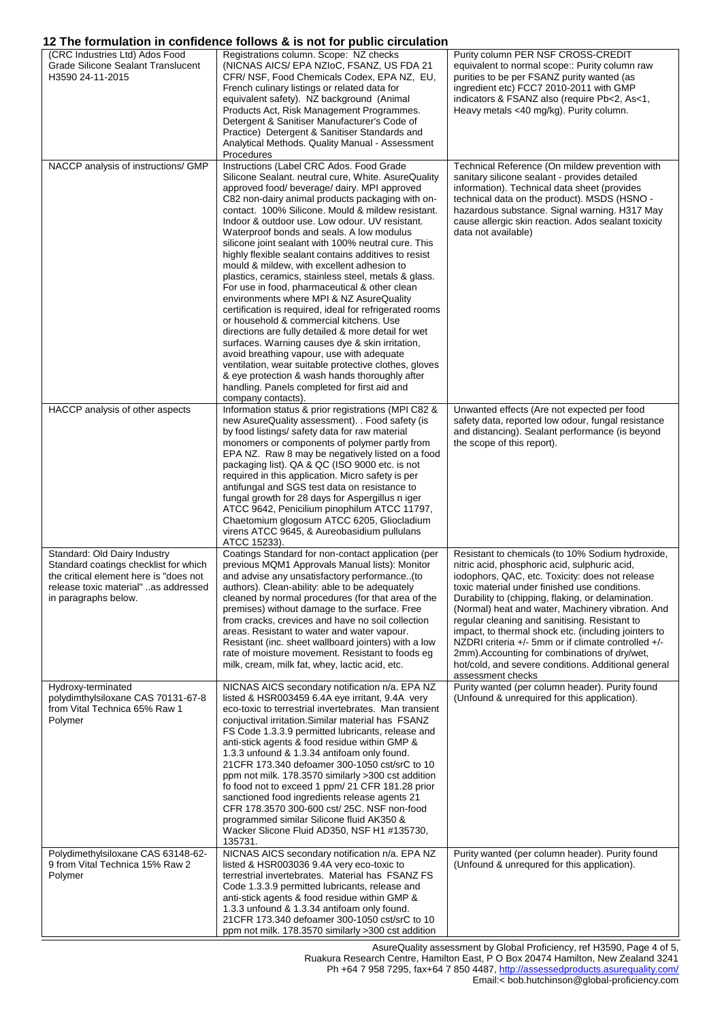# **12 The formulation in confidence follows & is not for public circulation**

|                                                                                                                                                                                 | IZ THE IUITINIANUM IN CUMNENCE IUNUWS & IS NUT TUI PUDIIC CITCUIANUM                                                                                                                                                                                                                                                                                                                                                                                                                                                                                                                                                                                                                                                                                                                                                                                                                                                                                                                                                                                                                                                  |                                                                                                                                                                                                                                                                                                                                                                                                                                                                                                                                                                                                                   |
|---------------------------------------------------------------------------------------------------------------------------------------------------------------------------------|-----------------------------------------------------------------------------------------------------------------------------------------------------------------------------------------------------------------------------------------------------------------------------------------------------------------------------------------------------------------------------------------------------------------------------------------------------------------------------------------------------------------------------------------------------------------------------------------------------------------------------------------------------------------------------------------------------------------------------------------------------------------------------------------------------------------------------------------------------------------------------------------------------------------------------------------------------------------------------------------------------------------------------------------------------------------------------------------------------------------------|-------------------------------------------------------------------------------------------------------------------------------------------------------------------------------------------------------------------------------------------------------------------------------------------------------------------------------------------------------------------------------------------------------------------------------------------------------------------------------------------------------------------------------------------------------------------------------------------------------------------|
| (CRC Industries Ltd) Ados Food<br><b>Grade Silicone Sealant Translucent</b><br>H3590 24-11-2015                                                                                 | Registrations column. Scope: NZ checks<br>(NICNAS AICS/EPA NZIOC, FSANZ, US FDA 21<br>CFR/ NSF, Food Chemicals Codex, EPA NZ, EU,<br>French culinary listings or related data for<br>equivalent safety). NZ background (Animal<br>Products Act, Risk Management Programmes.<br>Detergent & Sanitiser Manufacturer's Code of<br>Practice) Detergent & Sanitiser Standards and<br>Analytical Methods. Quality Manual - Assessment<br>Procedures                                                                                                                                                                                                                                                                                                                                                                                                                                                                                                                                                                                                                                                                         | Purity column PER NSF CROSS-CREDIT<br>equivalent to normal scope:: Purity column raw<br>purities to be per FSANZ purity wanted (as<br>ingredient etc) FCC7 2010-2011 with GMP<br>indicators & FSANZ also (require Pb<2, As<1,<br>Heavy metals <40 mg/kg). Purity column.                                                                                                                                                                                                                                                                                                                                          |
| NACCP analysis of instructions/ GMP                                                                                                                                             | Instructions (Label CRC Ados. Food Grade<br>Silicone Sealant. neutral cure, White. AsureQuality<br>approved food/beverage/dairy. MPI approved<br>C82 non-dairy animal products packaging with on-<br>contact. 100% Silicone. Mould & mildew resistant.<br>Indoor & outdoor use. Low odour. UV resistant.<br>Waterproof bonds and seals. A low modulus<br>silicone joint sealant with 100% neutral cure. This<br>highly flexible sealant contains additives to resist<br>mould & mildew, with excellent adhesion to<br>plastics, ceramics, stainless steel, metals & glass.<br>For use in food, pharmaceutical & other clean<br>environments where MPI & NZ AsureQuality<br>certification is required, ideal for refrigerated rooms<br>or household & commercial kitchens. Use<br>directions are fully detailed & more detail for wet<br>surfaces. Warning causes dye & skin irritation,<br>avoid breathing vapour, use with adequate<br>ventilation, wear suitable protective clothes, gloves<br>& eye protection & wash hands thoroughly after<br>handling. Panels completed for first aid and<br>company contacts). | Technical Reference (On mildew prevention with<br>sanitary silicone sealant - provides detailed<br>information). Technical data sheet (provides<br>technical data on the product). MSDS (HSNO -<br>hazardous substance. Signal warning. H317 May<br>cause allergic skin reaction. Ados sealant toxicity<br>data not available)                                                                                                                                                                                                                                                                                    |
| HACCP analysis of other aspects                                                                                                                                                 | Information status & prior registrations (MPI C82 &<br>new AsureQuality assessment). . Food safety (is<br>by food listings/ safety data for raw material<br>monomers or components of polymer partly from<br>EPA NZ. Raw 8 may be negatively listed on a food<br>packaging list). QA & QC (ISO 9000 etc. is not<br>required in this application. Micro safety is per<br>antifungal and SGS test data on resistance to<br>fungal growth for 28 days for Aspergillus n iger<br>ATCC 9642, Penicilium pinophilum ATCC 11797,<br>Chaetomium glogosum ATCC 6205, Gliocladium<br>virens ATCC 9645, & Aureobasidium pullulans<br>ATCC 15233).                                                                                                                                                                                                                                                                                                                                                                                                                                                                                | Unwanted effects (Are not expected per food<br>safety data, reported low odour, fungal resistance<br>and distancing). Sealant performance (is beyond<br>the scope of this report).                                                                                                                                                                                                                                                                                                                                                                                                                                |
| Standard: Old Dairy Industry<br>Standard coatings checklist for which<br>the critical element here is "does not<br>release toxic material" as addressed<br>in paragraphs below. | Coatings Standard for non-contact application (per<br>previous MQM1 Approvals Manual lists): Monitor<br>and advise any unsatisfactory performance. (to<br>authors). Clean-ability: able to be adequately<br>cleaned by normal procedures (for that area of the<br>premises) without damage to the surface. Free<br>from cracks, crevices and have no soil collection<br>areas. Resistant to water and water vapour.<br>Resistant (inc. sheet wallboard jointers) with a low<br>rate of moisture movement. Resistant to foods eg<br>milk, cream, milk fat, whey, lactic acid, etc.                                                                                                                                                                                                                                                                                                                                                                                                                                                                                                                                     | Resistant to chemicals (to 10% Sodium hydroxide,<br>nitric acid, phosphoric acid, sulphuric acid,<br>iodophors, QAC, etc. Toxicity: does not release<br>toxic material under finished use conditions.<br>Durability to (chipping, flaking, or delamination.<br>(Normal) heat and water, Machinery vibration. And<br>regular cleaning and sanitising. Resistant to<br>impact, to thermal shock etc. (including jointers to<br>NZDRI criteria $+/-$ 5mm or if climate controlled $+/-$<br>2mm). Accounting for combinations of dry/wet,<br>hot/cold, and severe conditions. Additional general<br>assessment checks |
| Hydroxy-terminated<br>polydimthylsiloxane CAS 70131-67-8<br>from Vital Technica 65% Raw 1<br>Polymer                                                                            | NICNAS AICS secondary notification n/a. EPA NZ<br>listed & HSR003459 6.4A eye irritant, 9.4A very<br>eco-toxic to terrestrial invertebrates. Man transient<br>conjuctival irritation. Similar material has FSANZ<br>FS Code 1.3.3.9 permitted lubricants, release and<br>anti-stick agents & food residue within GMP &<br>1.3.3 unfound & 1.3.34 antifoam only found.<br>21 CFR 173.340 defoamer 300-1050 cst/srC to 10<br>ppm not milk. 178.3570 similarly >300 cst addition<br>fo food not to exceed 1 ppm/ 21 CFR 181.28 prior<br>sanctioned food ingredients release agents 21<br>CFR 178.3570 300-600 cst/ 25C. NSF non-food<br>programmed similar Silicone fluid AK350 &<br>Wacker Slicone Fluid AD350, NSF H1 #135730,<br>135731.                                                                                                                                                                                                                                                                                                                                                                              | Purity wanted (per column header). Purity found<br>(Unfound & unrequired for this application).                                                                                                                                                                                                                                                                                                                                                                                                                                                                                                                   |
| Polydimethylsiloxane CAS 63148-62-<br>9 from Vital Technica 15% Raw 2<br>Polymer                                                                                                | NICNAS AICS secondary notification n/a. EPA NZ<br>listed & HSR003036 9.4A very eco-toxic to<br>terrestrial invertebrates. Material has FSANZ FS<br>Code 1.3.3.9 permitted lubricants, release and<br>anti-stick agents & food residue within GMP &<br>1.3.3 unfound & 1.3.34 antifoam only found.<br>21 CFR 173.340 defoamer 300-1050 cst/srC to 10<br>ppm not milk. 178.3570 similarly >300 cst addition                                                                                                                                                                                                                                                                                                                                                                                                                                                                                                                                                                                                                                                                                                             | Purity wanted (per column header). Purity found<br>(Unfound & unrequred for this application).                                                                                                                                                                                                                                                                                                                                                                                                                                                                                                                    |

AsureQuality assessment by Global Proficiency, ref H3590, Page 4 of 5, Ruakura Research Centre, Hamilton East, P O Box 20474 Hamilton, New Zealand 3241 Ph +64 7 958 7295, fax+64 7 850 4487,<http://assessedproducts.asurequality.com/> Email:< bob.hutchinson@global-proficiency.com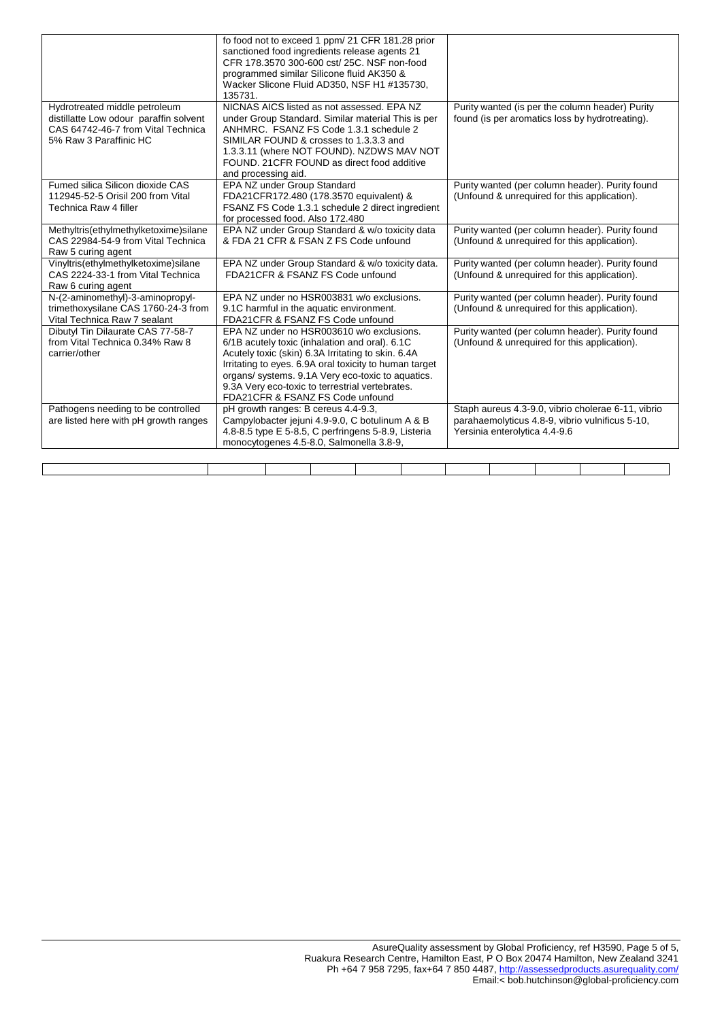|                                                                                                                                         | fo food not to exceed 1 ppm/ 21 CFR 181.28 prior<br>sanctioned food ingredients release agents 21<br>CFR 178.3570 300-600 cst/ 25C. NSF non-food<br>programmed similar Silicone fluid AK350 &<br>Wacker Slicone Fluid AD350, NSF H1 #135730,<br>135731.                                                                                                 |                                                                                                                                        |
|-----------------------------------------------------------------------------------------------------------------------------------------|---------------------------------------------------------------------------------------------------------------------------------------------------------------------------------------------------------------------------------------------------------------------------------------------------------------------------------------------------------|----------------------------------------------------------------------------------------------------------------------------------------|
| Hydrotreated middle petroleum<br>distillatte Low odour paraffin solvent<br>CAS 64742-46-7 from Vital Technica<br>5% Raw 3 Paraffinic HC | NICNAS AICS listed as not assessed. EPA NZ<br>under Group Standard. Similar material This is per<br>ANHMRC. FSANZ FS Code 1.3.1 schedule 2<br>SIMILAR FOUND & crosses to 1.3.3.3 and<br>1.3.3.11 (where NOT FOUND). NZDWS MAV NOT<br>FOUND. 21 CFR FOUND as direct food additive<br>and processing aid.                                                 | Purity wanted (is per the column header) Purity<br>found (is per aromatics loss by hydrotreating).                                     |
| Fumed silica Silicon dioxide CAS<br>112945-52-5 Orisil 200 from Vital<br>Technica Raw 4 filler                                          | EPA NZ under Group Standard<br>FDA21CFR172.480 (178.3570 equivalent) &<br>FSANZ FS Code 1.3.1 schedule 2 direct ingredient<br>for processed food. Also 172.480                                                                                                                                                                                          | Purity wanted (per column header). Purity found<br>(Unfound & unrequired for this application).                                        |
| Methyltris(ethylmethylketoxime)silane<br>CAS 22984-54-9 from Vital Technica<br>Raw 5 curing agent                                       | EPA NZ under Group Standard & w/o toxicity data<br>& FDA 21 CFR & FSAN Z FS Code unfound                                                                                                                                                                                                                                                                | Purity wanted (per column header). Purity found<br>(Unfound & unrequired for this application).                                        |
| Vinyltris(ethylmethylketoxime)silane<br>CAS 2224-33-1 from Vital Technica<br>Raw 6 curing agent                                         | EPA NZ under Group Standard & w/o toxicity data.<br>FDA21CFR & FSANZ FS Code unfound                                                                                                                                                                                                                                                                    | Purity wanted (per column header). Purity found<br>(Unfound & unrequired for this application).                                        |
| N-(2-aminomethyl)-3-aminopropyl-<br>trimethoxysilane CAS 1760-24-3 from<br>Vital Technica Raw 7 sealant                                 | EPA NZ under no HSR003831 w/o exclusions.<br>9.1C harmful in the aquatic environment.<br>FDA21CFR & FSANZ FS Code unfound                                                                                                                                                                                                                               | Purity wanted (per column header). Purity found<br>(Unfound & unrequired for this application).                                        |
| Dibutyl Tin Dilaurate CAS 77-58-7<br>from Vital Technica 0.34% Raw 8<br>carrier/other                                                   | EPA NZ under no HSR003610 w/o exclusions.<br>6/1B acutely toxic (inhalation and oral). 6.1C<br>Acutely toxic (skin) 6.3A Irritating to skin. 6.4A<br>Irritating to eyes. 6.9A oral toxicity to human target<br>organs/ systems. 9.1A Very eco-toxic to aquatics.<br>9.3A Very eco-toxic to terrestrial vertebrates.<br>FDA21CFR & FSANZ FS Code unfound | Purity wanted (per column header). Purity found<br>(Unfound & unrequired for this application).                                        |
| Pathogens needing to be controlled<br>are listed here with pH growth ranges                                                             | pH growth ranges: B cereus 4.4-9.3,<br>Campylobacter jejuni 4.9-9.0, C botulinum A & B<br>4.8-8.5 type E 5-8.5, C perfringens 5-8.9, Listeria<br>monocytogenes 4.5-8.0, Salmonella 3.8-9,                                                                                                                                                               | Staph aureus 4.3-9.0, vibrio cholerae 6-11, vibrio<br>parahaemolyticus 4.8-9, vibrio vulnificus 5-10,<br>Yersinia enterolytica 4.4-9.6 |
|                                                                                                                                         |                                                                                                                                                                                                                                                                                                                                                         |                                                                                                                                        |